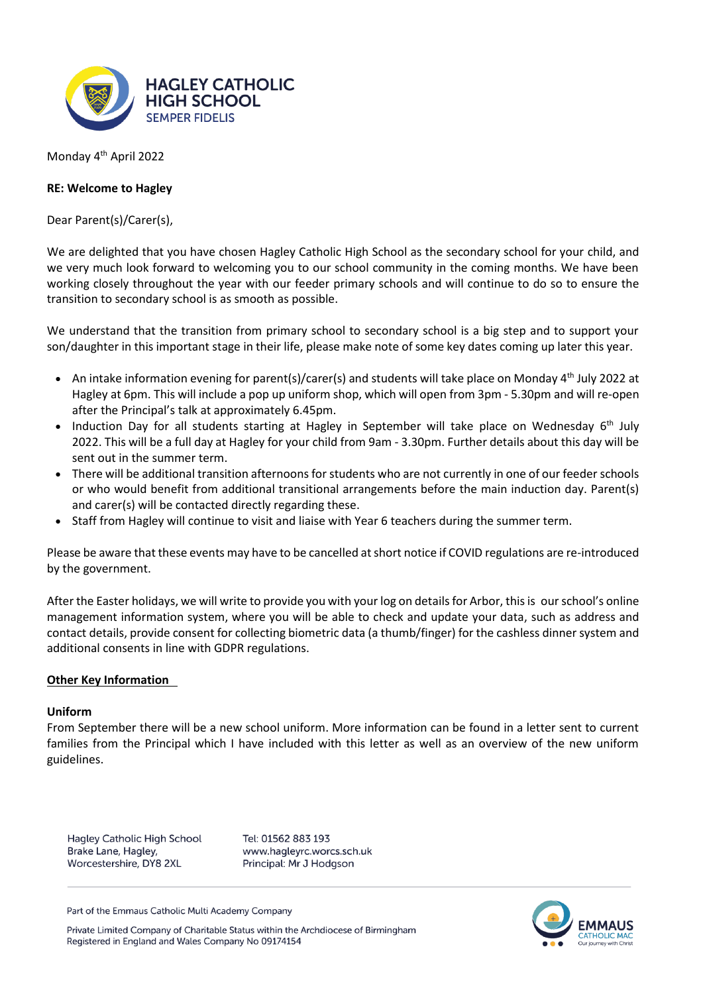

Monday 4<sup>th</sup> April 2022

## **RE: Welcome to Hagley**

Dear Parent(s)/Carer(s),

We are delighted that you have chosen Hagley Catholic High School as the secondary school for your child, and we very much look forward to welcoming you to our school community in the coming months. We have been working closely throughout the year with our feeder primary schools and will continue to do so to ensure the transition to secondary school is as smooth as possible.

We understand that the transition from primary school to secondary school is a big step and to support your son/daughter in this important stage in their life, please make note of some key dates coming up later this year.

- An intake information evening for parent(s)/carer(s) and students will take place on Monday  $4<sup>th</sup>$  July 2022 at Hagley at 6pm. This will include a pop up uniform shop, which will open from 3pm - 5.30pm and will re-open after the Principal's talk at approximately 6.45pm.
- Induction Day for all students starting at Hagley in September will take place on Wednesday 6<sup>th</sup> July 2022. This will be a full day at Hagley for your child from 9am - 3.30pm. Further details about this day will be sent out in the summer term.
- There will be additional transition afternoons for students who are not currently in one of our feeder schools or who would benefit from additional transitional arrangements before the main induction day. Parent(s) and carer(s) will be contacted directly regarding these.
- Staff from Hagley will continue to visit and liaise with Year 6 teachers during the summer term.

Please be aware that these events may have to be cancelled at short notice if COVID regulations are re-introduced by the government.

After the Easter holidays, we will write to provide you with your log on details for Arbor, this is our school's online management information system, where you will be able to check and update your data, such as address and contact details, provide consent for collecting biometric data (a thumb/finger) for the cashless dinner system and additional consents in line with GDPR regulations.

## **Other Key Information**

## **Uniform**

From September there will be a new school uniform. More information can be found in a letter sent to current families from the Principal which I have included with this letter as well as an overview of the new uniform guidelines.

**Hagley Catholic High School** Brake Lane, Hagley, Worcestershire, DY8 2XL

Tel: 01562 883 193 www.hagleyrc.worcs.sch.uk Principal: Mr J Hodgson

Part of the Emmaus Catholic Multi Academy Company

Private Limited Company of Charitable Status within the Archdiocese of Birmingham Registered in England and Wales Company No 09174154

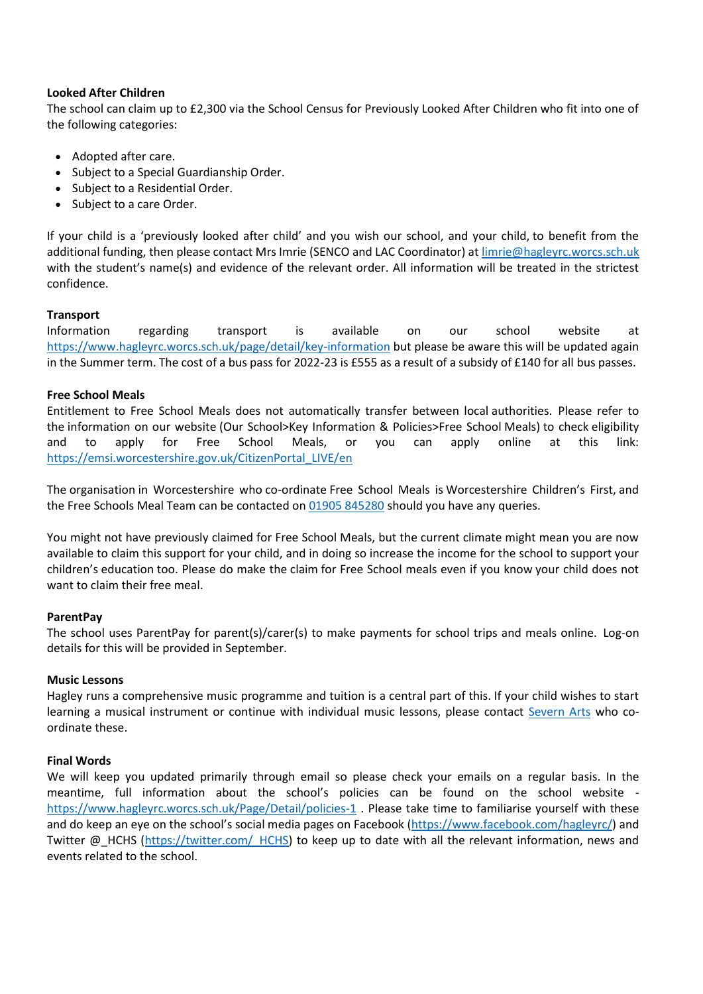## **Looked After Children**

The school can claim up to £2,300 via the School Census for Previously Looked After Children who fit into one of the following categories:

- Adopted after care.
- Subject to a Special Guardianship Order.
- Subject to a Residential Order.
- Subject to a care Order.

If your child is a 'previously looked after child' and you wish our school, and your child, to benefit from the additional funding, then please contact Mrs Imrie (SENCO and LAC Coordinator) at [limrie@hagleyrc.worcs.sch.uk](about:blank) with the student's name(s) and evidence of the relevant order. All information will be treated in the strictest confidence. 

# **Transport**

Information regarding transport is available on our school website at [https://www.hagleyrc.worcs.sch.uk/page/detail/key-information](about:blank) but please be aware this will be updated again in the Summer term. The cost of a bus pass for 2022-23 is £555 as a result of a subsidy of £140 for all bus passes.

# **Free School Meals**

Entitlement to Free School Meals does not automatically transfer between local authorities.  Please refer to the information on our website (Our School>Key Information & Policies>Free School Meals) to check eligibility and to apply for Free School Meals, or you can apply online at this link: [https://emsi.worcestershire.gov.uk/CitizenPortal\\_LIVE/en](about:blank)  

The organisation in Worcestershire who co-ordinate Free School Meals is Worcestershire Children's First, and the Free Schools Meal Team can be contacted on [01905 845280](about:blank) should you have any queries.   

You might not have previously claimed for Free School Meals, but the current climate might mean you are now available to claim this support for your child, and in doing so increase the income for the school to support your children's education too. Please do make the claim for Free School meals even if you know your child does not want to claim their free meal.  

## **ParentPay**

The school uses ParentPay for parent(s)/carer(s) to make payments for school trips and meals online.  Log-on details for this will be provided in September.   

## **Music Lessons**

Hagley runs a comprehensive music programme and tuition is a central part of this. If your child wishes to start learning a musical instrument or continue with individual music lessons, please contact [Severn Arts](about:blank) who coordinate these.

## **Final Words**

We will keep you updated primarily through email so please check your emails on a regular basis. In the meantime, full information about the school's policies can be found on the school website [https://www.hagleyrc.worcs.sch.uk/Page/Detail/policies-1](about:blank) . Please take time to familiarise yourself with these and do keep an eye on the school's social media pages on Facebook ([https://www.facebook.com/hagleyrc/\)](about:blank) and Twitter @ HCHS (https://twitter.com/ HCHS) to keep up to date with all the relevant information, news and events related to the school.